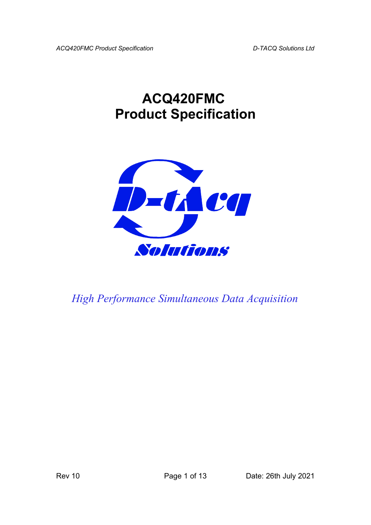# **ACQ420FMC Product Specification**



*High Performance Simultaneous Data Acquisition*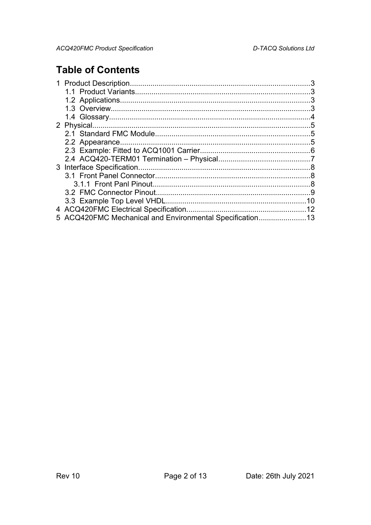## **Table of Contents**

| 5 ACQ420FMC Mechanical and Environmental Specification13 |  |
|----------------------------------------------------------|--|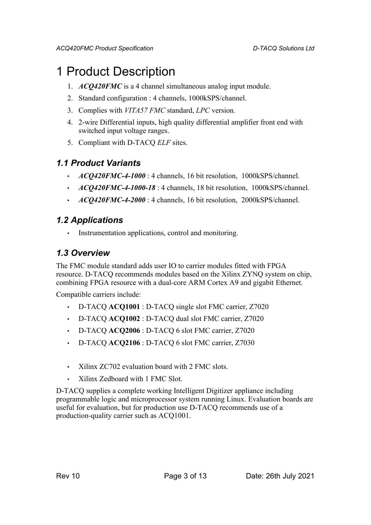## 1 Product Description

- 1. *ACQ420FMC* is a 4 channel simultaneous analog input module.
- 2. Standard configuration : 4 channels, 1000kSPS/channel.
- 3. Complies with *VITA57 FMC* standard, *LPC* version.
- 4. 2-wire Differential inputs, high quality differential amplifier front end with switched input voltage ranges.
- 5. Compliant with D-TACQ *ELF* sites.

#### *1.1 Product Variants*

- *ACQ420FMC-4-1000* : 4 channels, 16 bit resolution, 1000kSPS/channel.
- *ACQ420FMC-4-1000-18* : 4 channels, 18 bit resolution, 1000kSPS/channel.
- *ACQ420FMC-4-2000* : 4 channels, 16 bit resolution, 2000kSPS/channel.

#### *1.2 Applications*

Instrumentation applications, control and monitoring.

### *1.3 Overview*

The FMC module standard adds user IO to carrier modules fitted with FPGA resource. D-TACQ recommends modules based on the Xilinx ZYNQ system on chip, combining FPGA resource with a dual-core ARM Cortex A9 and gigabit Ethernet.

Compatible carriers include:

- D-TACQ **ACQ1001** : D-TACQ single slot FMC carrier, Z7020
- D-TACQ **ACQ1002** : D-TACQ dual slot FMC carrier, Z7020
- D-TACQ **ACQ2006** : D-TACQ 6 slot FMC carrier, Z7020
- D-TACQ **ACQ2106** : D-TACQ 6 slot FMC carrier, Z7030
- Xilinx ZC702 evaluation board with 2 FMC slots.
- Xilinx Zedboard with 1 FMC Slot.

D-TACQ supplies a complete working Intelligent Digitizer appliance including programmable logic and microprocessor system running Linux. Evaluation boards are useful for evaluation, but for production use D-TACQ recommends use of a production-quality carrier such as ACQ1001.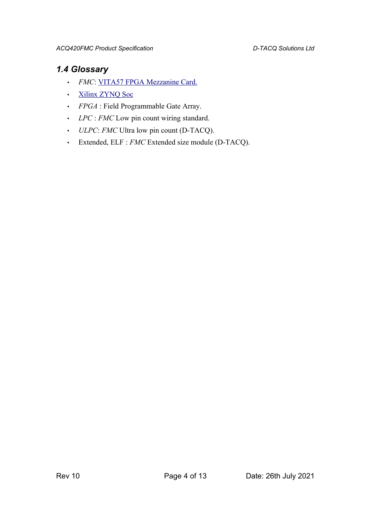### *1.4 Glossary*

- *FMC*: [VITA57 FPGA Mezzanine Card.](http://www.vita.com/fmc.html)
- • [Xilinx ZYNQ Soc](http://www.xilinx.com/products/silicon-devices/soc/zynq-7000/index.htm)
- *FPGA* : Field Programmable Gate Array.
- *LPC* : *FMC* Low pin count wiring standard.
- *ULPC*: *FMC* Ultra low pin count (D-TACQ).
- Extended, ELF : *FMC* Extended size module (D-TACQ).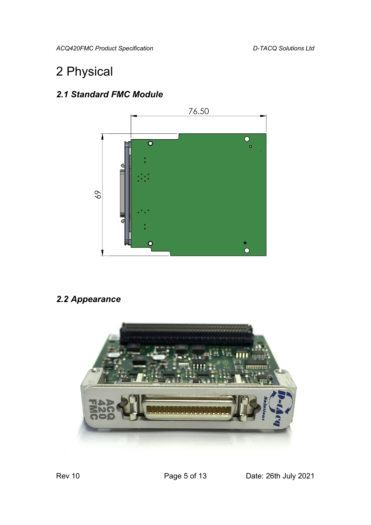*ACQ420FMC Product Specification D-TACQ Solutions Ltd*

# 2 Physical

## *2.1 Standard FMC Module*



## *2.2 Appearance*

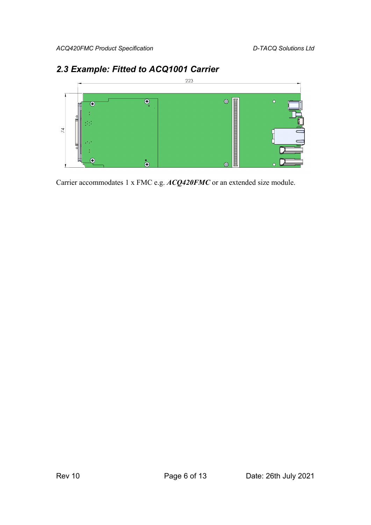

### *2.3 Example: Fitted to ACQ1001 Carrier*

Carrier accommodates 1 x FMC e.g. *ACQ420FMC* or an extended size module.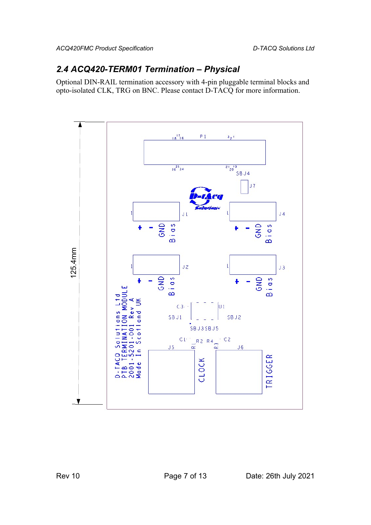### *2.4 ACQ420-TERM01 Termination – Physical*

Optional DIN-RAIL termination accessory with 4-pin pluggable terminal blocks and opto-isolated CLK, TRG on BNC. Please contact D-TACQ for more information.

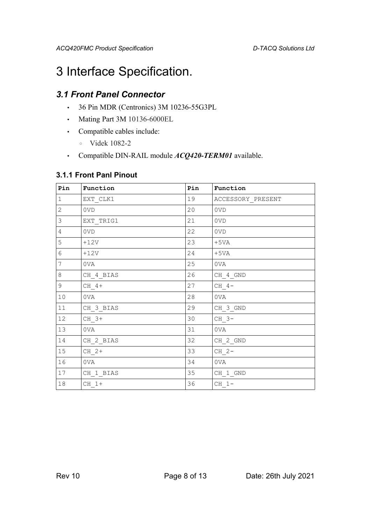## 3 Interface Specification.

### *3.1 Front Panel Connector*

- 36 Pin MDR (Centronics) 3M 10236-55G3PL
- Mating Part 3M 10136-6000EL
- Compatible cables include:
	- Videk 1082-2
- Compatible DIN-RAIL module *ACQ420-TERM01* available.

#### **3.1.1 Front Panl Pinout**

| Pin            | Function  | Pin | Function          |
|----------------|-----------|-----|-------------------|
| $1\,$          | EXT CLK1  | 19  | ACCESSORY PRESENT |
| $\overline{2}$ | 0VD       | 20  | 0VD               |
| 3              | EXT TRIG1 | 21  | 0VD               |
| 4              | 0VD       | 22  | 0VD               |
| 5              | $+12V$    | 23  | $+5VA$            |
| 6              | $+12V$    | 24  | $+5VA$            |
| $\overline{7}$ | 0VA       | 25  | 0VA               |
| 8              | CH 4 BIAS | 26  | CH 4 GND          |
| 9              | $CH 4+$   | 27  | $CH 4-$           |
| 10             | 0VA       | 28  | 0VA               |
| 11             | CH 3 BIAS | 29  | CH 3 GND          |
| 12             | $CH$ 3+   | 30  | CH 3-             |
| 13             | 0VA       | 31  | 0VA               |
| 14             | CH 2 BIAS | 32  | CH 2 GND          |
| 15             | $CH$ 2+   | 33  | $CH 2-$           |
| 16             | 0VA       | 34  | 0VA               |
| 17             | CH 1 BIAS | 35  | CH 1 GND          |
| 18             | $CH 1+$   | 36  | $CH 1-$           |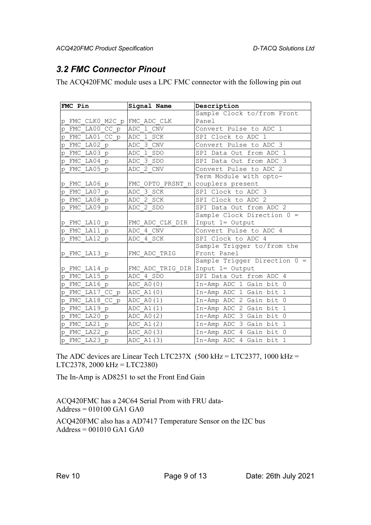### *3.2 FMC Connector Pinout*

The ACQ420FMC module uses a LPC FMC connector with the following pin out

| FMC Pin                      | Signal Name                        | Description                    |
|------------------------------|------------------------------------|--------------------------------|
|                              |                                    | Sample Clock to/from Front     |
| p FMC CLKO M2C p FMC ADC CLK |                                    | Panel                          |
| p FMC LA00 CC p              | ADC 1 CNV                          | Convert Pulse to ADC 1         |
| FMC LA01 CC p<br>p           | ADC 1 SCK                          | SPI Clock to ADC 1             |
| p FMC LA02 p                 | ADC 3 CNV                          | Convert Pulse to ADC 3         |
| FMC LA03 p<br>p              | ADC 1 SDO                          | SPI Data Out from ADC 1        |
| p FMC LA04 p                 | ADC 3 SDO                          | SPI Data Out from ADC 3        |
| p FMC LA05 p                 | ADC 2 CNV                          | Convert Pulse to ADC 2         |
|                              |                                    | Term Module with opto-         |
| p FMC LA06 p                 | FMC OPTO PRSNT n                   | couplers present               |
| FMC LA07 p<br>p              | ADC 3 SCK                          | SPI Clock to ADC 3             |
| p FMC LA08 p                 | ADC 2 SCK                          | SPI Clock to ADC 2             |
| p FMC LA09 p                 | ADC 2 SDO                          | SPI Data Out from ADC 2        |
|                              |                                    | Sample Clock Direction $0 =$   |
| p FMC LA10 p                 | FMC ADC CLK DIR                    | Input 1= Output                |
| p FMC LA11 p                 | ADC 4 CNV                          | Convert Pulse to ADC 4         |
| p FMC LA12 p                 | ADC 4 SCK                          | SPI Clock to ADC 4             |
|                              |                                    | Sample Trigger to/from the     |
| p FMC LA13 p                 | FMC ADC TRIG                       | Front Panel                    |
|                              |                                    | Sample Trigger Direction $0 =$ |
| p FMC LA14 p                 | FMC ADC TRIG DIR Input $1=$ Output |                                |
| FMC LA15 p<br>p              | ADC 4 SDO                          | SPI Data Out from ADC 4        |
| p FMC LA16 p                 | ADC A0(0)                          | In-Amp ADC 1 Gain bit 0        |
| FMC LA17 CC p<br>p           | ADC A1(0)                          | In-Amp ADC 1 Gain bit 1        |
| p FMC LA18 CC p              | ADC A0(1)                          | In-Amp ADC 2 Gain bit 0        |
| FMC LA19 p<br>p              | ADC A1(1)                          | In-Amp ADC 2 Gain bit 1        |
| FMC LA20 p<br>p              | ADC A0(2)                          | In-Amp ADC 3 Gain bit 0        |
| p FMC LA21 p                 | ADC A1(2)                          | In-Amp ADC 3 Gain bit 1        |
| p FMC LA22 p                 | ADC A0(3)                          | In-Amp ADC 4 Gain bit 0        |
| p FMC LA23 p                 | ADC A1(3)                          | In-Amp ADC 4 Gain bit 1        |

The ADC devices are Linear Tech LTC237X (500 kHz = LTC2377, 1000 kHz = LTC2378, 2000 kHz = LTC2380)

The In-Amp is AD8251 to set the Front End Gain

ACQ420FMC has a 24C64 Serial Prom with FRU data-Address = 010100 GA1 GA0

ACQ420FMC also has a AD7417 Temperature Sensor on the I2C bus  $Address = 001010$  GA1 GA0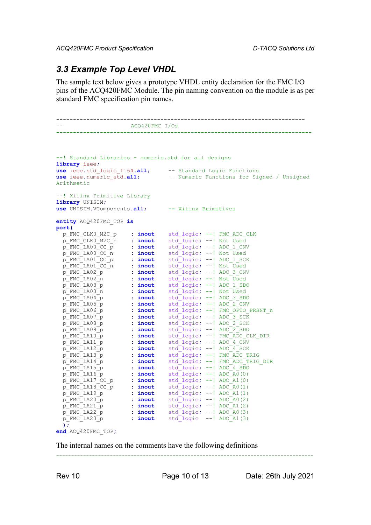*ACQ420FMC Product Specification D-TACQ Solutions Ltd*

#### *3.3 Example Top Level VHDL*

The sample text below gives a prototype VHDL entity declaration for the FMC I/O pins of the ACQ420FMC Module. The pin naming convention on the module is as per standard FMC specification pin names.

```
--------------------------------------------------------------------------
                  -- ACQ420FMC I/Os
----------------------------------------------------------------------------
--! Standard Libraries - numeric.std for all designs
library ieee;
use ieee.std_logic_1164.all; -- Standard Logic Functions
use ieee.numeric_std.all; -- Numeric Functions for Signed / Unsigned 
Arithmetic
--! Xilinx Primitive Library
library UNISIM;
use UNISIM.VComponents.all; -- Xilinx Primitives
entity ACQ420FMC_TOP is
port(
 p_FMC_CLK0_M2C_p : inout std_logic; --! FMC_ADC_CLK
 p_FMC_CLK0_M2C_n : inout std_logic; --! Not Used
 p_FMC_LA00_CC_p : inout std_logic; --! ADC_1_CNV
 p_FMC_LA00_CC_n : inout std_logic; --! Not Used
 p_FMC_LA01_CC_p : inout std_logic; --! ADC_1_SCK
 p_FMC_LA01_CC_n : inout std_logic; --! Not Used
 p_FMC_LA02_p : inout std_logic; --! ADC_3_CNV
 p_FMC_LA02_n : inout std_logic; --! Not Used
 p_FMC_LA03_p : inout std_logic; --! ADC_1_SDO
 p_FMC_LA03_n : inout std_logic; --! Not Used
 p_FMC_LA04_p : inout std_logic; --! ADC_3_SDO
 p_FMC_LA05_p : inout std_logic; --! ADC_2_CNV
 p_FMC_LA06_p : inout std_logic; --! FMC_OPTO_PRSNT_n
 p_FMC_LA07_p : inout std_logic; --! ADC_3_SCK
 p_FMC_LA08_p : inout std_logic; --! ADC_2_SCK
 p_FMC_LA09_p : inout std_logic; --! ADC_2_SDO
 p_FMC_LA10_p : inout std_logic; --! FMC_ADC_CLK_DIR
 p_FMC_LA11_p : inout std_logic; --! ADC_4_CNV
 p_FMC_LA12_p : inout std_logic; --! ADC_4_SCK
 p_FMC_LA13_p : inout std_logic; --! FMC_ADC_TRIG
 p_FMC_LA14_p : inout std_logic; --! FMC_ADC_TRIG_DIR
 p_FMC_LA15_p : inout std_logic; --! ADC_4_SDO
 p_FMC_LA16_p : inout std_logic; --! ADC_A0(0)
 p_FMC_LA17_CC_p : inout std_logic; --! ADC_A1(0)
 p_FMC_LA18_CC_p : inout std_logic; --! ADC_A0(1)
 p_FMC_LA19_p : inout std_logic; --! ADC_A1(1)
 p_FMC_LA20_p : inout std_logic; --! ADC_A0(2)
 p_FMC_LA21_p : inout std_logic; --! ADC_A1(2)
 p_FMC_LA22_p : inout std_logic; --! ADC_A0(3)
 p_FMC_LA23_p : inout std_logic --! ADC_A1(3)
 );
end ACQ420FMC_TOP;
```
The internal names on the comments have the following definitions

--------------------------------------------------------------------------------------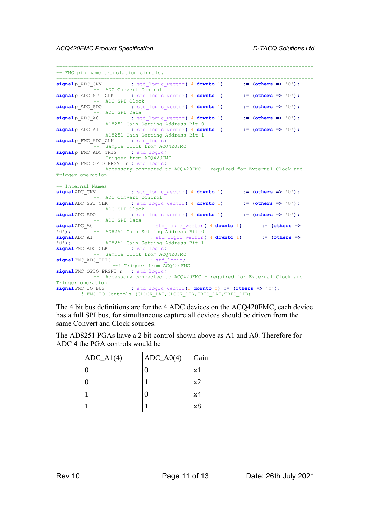```
--------------------------------------------------------------------------------------
-- FMC pin name translation signals.
        --------------------------------------------------------------------------------------
signalp_ADC_CNV : std_logic_vector( 4 downto 1) := (others => '0');
            --! ADC Convert Control
signalp_ADC_SPI_CLK : std_logic_vector( 4 downto 1) := (others => '0');
            --! ADC SPI Clock
signalp_ADC_SDO : std_logic_vector( 4 downto 1) := (others => '0');
---! ADC SPI Data<br>signalp ADC A0 : st
                : std logic vector( 4 downto 1) := (others => '0');
---! AD8251 Gain Setting Address Bit 0<br>signalp ADC A1 : std logic vector (4 down
                 s b8251 Gain Setting Address Bit 0<br>
: std_logic_vector( 4 downto 1) := (others => '0');
           -<br>--! AD8251 Gain Setting Address Bit 1
signalp_FMC_ADC_CLK : std_logic;
            --! Sample Clock from ACQ420FMC
signalp_FMC_ADC_TRIG : std_logic;
           --! Trigger from ACO420FMC
signalp_FMC_OPTO_PRSNT_n : std_logic;
            --! Accessory connected to ACQ420FMC - required for External Clock and 
Trigger operation
-- Internal Names
signalADC_CNV : std_logic_vector( 4 downto 1) := (others => '0');
            --! ADC Convert Control
signalADC_SPI_CLK : std_logic_vector( 4 downto 1) := (others => '0');
- --! ADC SPI Clock<br>signalADC SDO : std
                 signalADC_SDO : std_logic_vector( 4 downto 1) := (others => '0');
\frac{1}{\text{signal ADC A0}} --! ADC SPI Data
                             : std logic vector( 4 downto 1) := (others =>
'0'); --! AD8251 Gain Setting Address Bit 0
signalADC_A1 : std_logic_vector( 4 downto 1) := (others =>
'0'); --! AD8251 Gain Setting Address Bit 1
signalFMC_ADC_CLK : std_logic;
          --! Sample Clock from ACQ420FMC
signalFMC_ADC_TRIG : std_logic;
                 --! Trigger from ACQ420FMC
signalFMC_OPTO_PRSNT_n : std_logic;
         --! Accessory connected to ACQ420FMC - required for External Clock and
Trigger operation
signalFMC_IO_BUS : std_logic_vector(3 downto 0) := (others => '0');
      --! FMC IO Controls (CLOCK DAT, CLOCK DIR, TRIG DAT, TRIG DIR)
```
The 4 bit bus definitions are for the 4 ADC devices on the ACQ420FMC, each device has a full SPI bus, for simultaneous capture all devices should be driven from the same Convert and Clock sources.

The AD8251 PGAs have a 2 bit control shown above as A1 and A0. Therefore for ADC 4 the PGA controls would be

| $ADC_A1(4)$ | $ADC_A0(4)$ | Gain |
|-------------|-------------|------|
|             |             | x1   |
|             |             | x2   |
|             |             | x4   |
|             |             | x8   |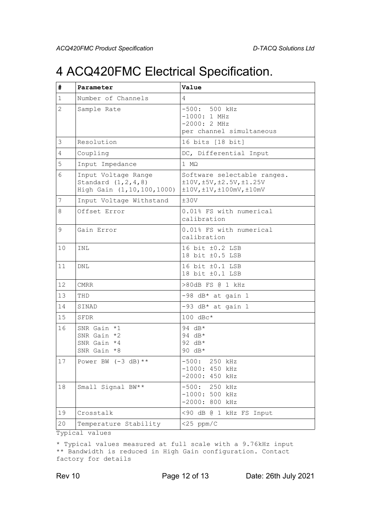## 4 ACQ420FMC Electrical Specification.

| #              | Parameter                                                                   | Value                                                                                                       |
|----------------|-----------------------------------------------------------------------------|-------------------------------------------------------------------------------------------------------------|
| $\mathbf{1}$   | Number of Channels                                                          | 4                                                                                                           |
| $\overline{2}$ | Sample Rate                                                                 | $-500: 500 kHz$<br>$-1000:1$ MHz<br>$-2000:2$ MHz<br>per channel simultaneous                               |
| 3              | Resolution                                                                  | 16 bits [18 bit]                                                                                            |
| 4              | Coupling                                                                    | DC, Differential Input                                                                                      |
| 5              | Input Impedance                                                             | $1 \text{ M}\Omega$                                                                                         |
| 6              | Input Voltage Range<br>Standard $(1, 2, 4, 8)$<br>High Gain (1,10,100,1000) | Software selectable ranges.<br>±10V, ±5V, ±2.5V, ±1.25V<br>$\pm 10V$ , $\pm 1V$ , $\pm 100$ mV, $\pm 10$ mV |
| $\overline{7}$ | Input Voltage Withstand                                                     | ±30V                                                                                                        |
| 8              | Offset Error                                                                | 0.01% FS with numerical<br>calibration                                                                      |
| 9              | Gain Error                                                                  | 0.01% FS with numerical<br>calibration                                                                      |
| 10             | INL                                                                         | 16 bit ±0.2 LSB<br>18 bit ±0.5 LSB                                                                          |
| 11             | DNL                                                                         | 16 bit ±0.1 LSB<br>18 bit ±0.1 LSB                                                                          |
| 12             | <b>CMRR</b>                                                                 | >80dB FS @ 1 kHz                                                                                            |
| 13             | THD                                                                         | $-98$ dB* at gain 1                                                                                         |
| 14             | SINAD                                                                       | $-93$ dB* at gain 1                                                                                         |
| 15             | SFDR                                                                        | $100 \text{ dBc}$ *                                                                                         |
| 16             | SNR Gain *1<br>SNR Gain *2<br>SNR Gain *4<br>SNR Gain *8                    | 94 $dB*$<br>94 dB*<br>92 $dB*$<br>90 $dB*$                                                                  |
| $17\,$         | Power BW $(-3 dB)$ **                                                       | $-500: 250$ kHz<br>$-1000: 450 kHz$<br>$-2000: 450 kHz$                                                     |
| 18             | Small Signal BW**                                                           | $-500: 250 kHz$<br>$-1000: 500 kHz$<br>$-2000: 800 kHz$                                                     |
| 19             | Crosstalk                                                                   | <90 dB @ 1 kHz FS Input                                                                                     |
| 20             | Temperature Stability                                                       | $<$ 25 ppm/C                                                                                                |

Typical values

\* Typical values measured at full scale with a 9.76kHz input \*\* Bandwidth is reduced in High Gain configuration. Contact factory for details